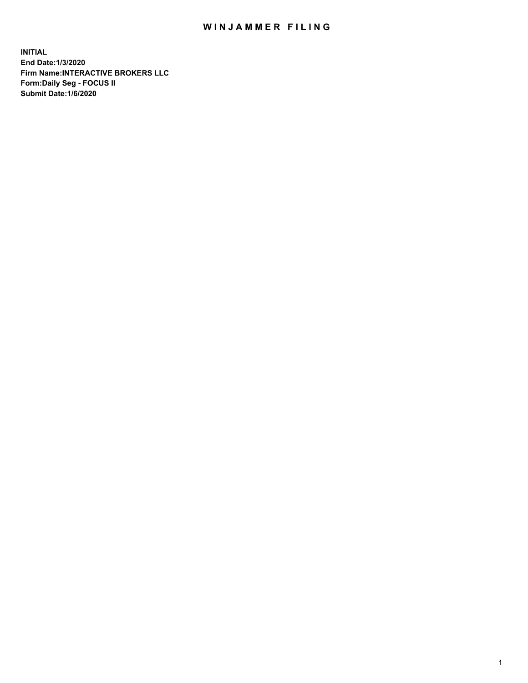## WIN JAMMER FILING

**INITIAL End Date:1/3/2020 Firm Name:INTERACTIVE BROKERS LLC Form:Daily Seg - FOCUS II Submit Date:1/6/2020**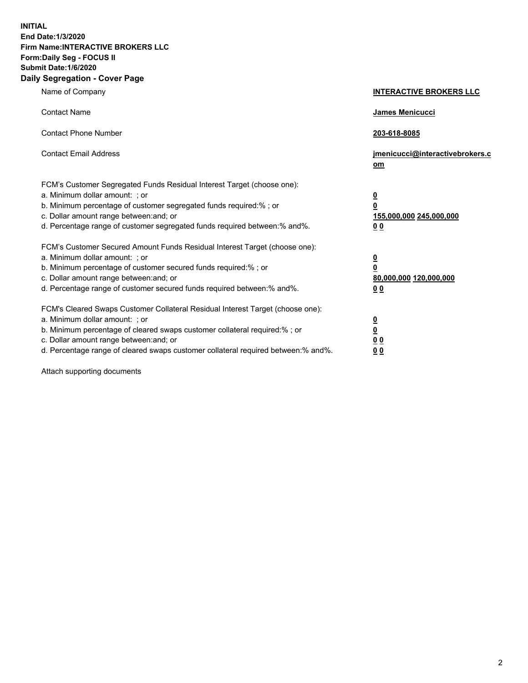**INITIAL End Date:1/3/2020 Firm Name:INTERACTIVE BROKERS LLC Form:Daily Seg - FOCUS II Submit Date:1/6/2020 Daily Segregation - Cover Page**

| Name of Company                                                                                                                                                                                                                                                                                                                | <b>INTERACTIVE BROKERS LLC</b>                                                      |
|--------------------------------------------------------------------------------------------------------------------------------------------------------------------------------------------------------------------------------------------------------------------------------------------------------------------------------|-------------------------------------------------------------------------------------|
| <b>Contact Name</b>                                                                                                                                                                                                                                                                                                            | James Menicucci                                                                     |
| <b>Contact Phone Number</b>                                                                                                                                                                                                                                                                                                    | 203-618-8085                                                                        |
| <b>Contact Email Address</b>                                                                                                                                                                                                                                                                                                   | jmenicucci@interactivebrokers.c<br>om                                               |
| FCM's Customer Segregated Funds Residual Interest Target (choose one):<br>a. Minimum dollar amount: ; or<br>b. Minimum percentage of customer segregated funds required:% ; or<br>c. Dollar amount range between: and; or<br>d. Percentage range of customer segregated funds required between:% and%.                         | $\overline{\mathbf{0}}$<br>$\overline{\mathbf{0}}$<br>155,000,000 245,000,000<br>00 |
| FCM's Customer Secured Amount Funds Residual Interest Target (choose one):<br>a. Minimum dollar amount: ; or<br>b. Minimum percentage of customer secured funds required:% ; or<br>c. Dollar amount range between: and; or<br>d. Percentage range of customer secured funds required between:% and%.                           | $\overline{\mathbf{0}}$<br>$\pmb{0}$<br>80,000,000 120,000,000<br>00                |
| FCM's Cleared Swaps Customer Collateral Residual Interest Target (choose one):<br>a. Minimum dollar amount: ; or<br>b. Minimum percentage of cleared swaps customer collateral required:% ; or<br>c. Dollar amount range between: and; or<br>d. Percentage range of cleared swaps customer collateral required between:% and%. | $\overline{\mathbf{0}}$<br>$\underline{\mathbf{0}}$<br>0 <sub>0</sub><br>00         |

Attach supporting documents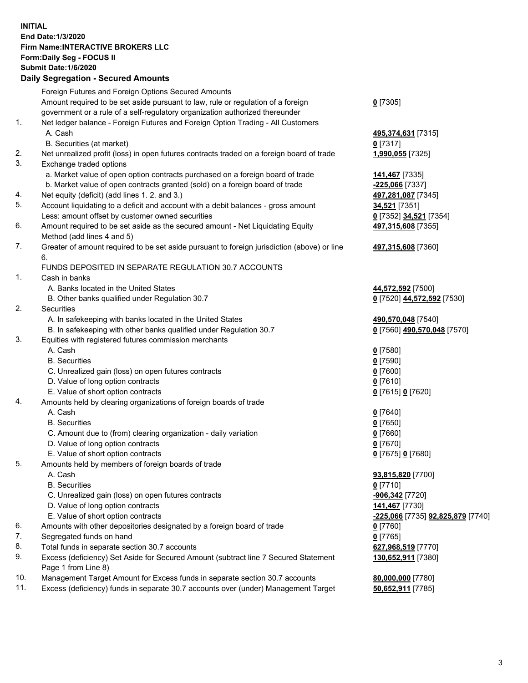## **INITIAL End Date:1/3/2020 Firm Name:INTERACTIVE BROKERS LLC Form:Daily Seg - FOCUS II Submit Date:1/6/2020 Daily Segregation - Secured Amounts**

|     | Foreign Futures and Foreign Options Secured Amounts                                                        |                                                 |
|-----|------------------------------------------------------------------------------------------------------------|-------------------------------------------------|
|     | Amount required to be set aside pursuant to law, rule or regulation of a foreign                           | $0$ [7305]                                      |
|     | government or a rule of a self-regulatory organization authorized thereunder                               |                                                 |
| 1.  | Net ledger balance - Foreign Futures and Foreign Option Trading - All Customers                            |                                                 |
|     | A. Cash                                                                                                    | 495,374,631 [7315]                              |
|     | B. Securities (at market)                                                                                  | $0$ [7317]                                      |
| 2.  | Net unrealized profit (loss) in open futures contracts traded on a foreign board of trade                  | 1,990,055 [7325]                                |
| 3.  | Exchange traded options                                                                                    |                                                 |
|     | a. Market value of open option contracts purchased on a foreign board of trade                             | 141,467 [7335]                                  |
|     | b. Market value of open contracts granted (sold) on a foreign board of trade                               | -225,066 [7337]                                 |
| 4.  | Net equity (deficit) (add lines 1. 2. and 3.)                                                              | 497,281,087 [7345]                              |
| 5.  | Account liquidating to a deficit and account with a debit balances - gross amount                          | 34,521 [7351]                                   |
|     | Less: amount offset by customer owned securities                                                           | 0 [7352] 34,521 [7354]                          |
| 6.  | Amount required to be set aside as the secured amount - Net Liquidating Equity                             | 497,315,608 [7355]                              |
|     | Method (add lines 4 and 5)                                                                                 |                                                 |
| 7.  | Greater of amount required to be set aside pursuant to foreign jurisdiction (above) or line                | 497,315,608 [7360]                              |
|     | 6.                                                                                                         |                                                 |
| 1.  | FUNDS DEPOSITED IN SEPARATE REGULATION 30.7 ACCOUNTS<br>Cash in banks                                      |                                                 |
|     | A. Banks located in the United States                                                                      |                                                 |
|     | B. Other banks qualified under Regulation 30.7                                                             | 44,572,592 [7500]<br>0 [7520] 44,572,592 [7530] |
| 2.  | Securities                                                                                                 |                                                 |
|     | A. In safekeeping with banks located in the United States                                                  | 490,570,048 [7540]                              |
|     | B. In safekeeping with other banks qualified under Regulation 30.7                                         | 0 [7560] 490,570,048 [7570]                     |
| 3.  | Equities with registered futures commission merchants                                                      |                                                 |
|     | A. Cash                                                                                                    | $0$ [7580]                                      |
|     | <b>B.</b> Securities                                                                                       | $0$ [7590]                                      |
|     | C. Unrealized gain (loss) on open futures contracts                                                        | $0$ [7600]                                      |
|     | D. Value of long option contracts                                                                          | $0$ [7610]                                      |
|     | E. Value of short option contracts                                                                         | 0 [7615] 0 [7620]                               |
| 4.  | Amounts held by clearing organizations of foreign boards of trade                                          |                                                 |
|     | A. Cash                                                                                                    | $0$ [7640]                                      |
|     | <b>B.</b> Securities                                                                                       | $0$ [7650]                                      |
|     | C. Amount due to (from) clearing organization - daily variation                                            | $0$ [7660]                                      |
|     | D. Value of long option contracts                                                                          | $0$ [7670]                                      |
|     | E. Value of short option contracts                                                                         | 0 [7675] 0 [7680]                               |
| 5.  | Amounts held by members of foreign boards of trade                                                         |                                                 |
|     | A. Cash                                                                                                    | 93,815,820 [7700]                               |
|     | <b>B.</b> Securities                                                                                       | $0$ [7710]                                      |
|     | C. Unrealized gain (loss) on open futures contracts                                                        | -906,342 <sup>[7720]</sup>                      |
|     | D. Value of long option contracts                                                                          | 141,467 [7730]                                  |
|     | E. Value of short option contracts                                                                         | <u>-225,066</u> [7735] <b>92,825,879</b> [7740] |
| 6.  | Amounts with other depositories designated by a foreign board of trade                                     | $0$ [7760]                                      |
| 7.  | Segregated funds on hand                                                                                   | $0$ [7765]                                      |
| 8.  | Total funds in separate section 30.7 accounts                                                              | 627,968,519 [7770]                              |
| 9.  | Excess (deficiency) Set Aside for Secured Amount (subtract line 7 Secured Statement<br>Page 1 from Line 8) | 130,652,911 [7380]                              |
| 10. | Management Target Amount for Excess funds in separate section 30.7 accounts                                | 80,000,000 [7780]                               |
| 11. | Excess (deficiency) funds in separate 30.7 accounts over (under) Management Target                         | 50,652,911 [7785]                               |
|     |                                                                                                            |                                                 |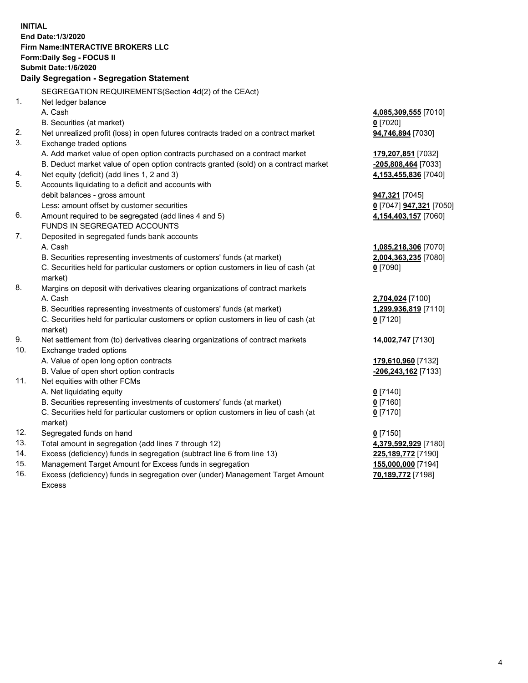**INITIAL End Date:1/3/2020 Firm Name:INTERACTIVE BROKERS LLC Form:Daily Seg - FOCUS II Submit Date:1/6/2020 Daily Segregation - Segregation Statement** SEGREGATION REQUIREMENTS(Section 4d(2) of the CEAct) 1. Net ledger balance A. Cash **4,085,309,555** [7010] B. Securities (at market) **0** [7020] 2. Net unrealized profit (loss) in open futures contracts traded on a contract market **94,746,894** [7030] 3. Exchange traded options A. Add market value of open option contracts purchased on a contract market **179,207,851** [7032] B. Deduct market value of open option contracts granted (sold) on a contract market **-205,808,464** [7033] 4. Net equity (deficit) (add lines 1, 2 and 3) **4,153,455,836** [7040] 5. Accounts liquidating to a deficit and accounts with debit balances - gross amount **947,321** [7045] Less: amount offset by customer securities **0** [7047] **947,321** [7050] 6. Amount required to be segregated (add lines 4 and 5) **4,154,403,157** [7060] FUNDS IN SEGREGATED ACCOUNTS 7. Deposited in segregated funds bank accounts A. Cash **1,085,218,306** [7070] B. Securities representing investments of customers' funds (at market) **2,004,363,235** [7080] C. Securities held for particular customers or option customers in lieu of cash (at market) **0** [7090] 8. Margins on deposit with derivatives clearing organizations of contract markets A. Cash **2,704,024** [7100] B. Securities representing investments of customers' funds (at market) **1,299,936,819** [7110] C. Securities held for particular customers or option customers in lieu of cash (at market) **0** [7120] 9. Net settlement from (to) derivatives clearing organizations of contract markets **14,002,747** [7130] 10. Exchange traded options A. Value of open long option contracts **179,610,960** [7132] B. Value of open short option contracts **-206,243,162** [7133] 11. Net equities with other FCMs A. Net liquidating equity **0** [7140] B. Securities representing investments of customers' funds (at market) **0** [7160] C. Securities held for particular customers or option customers in lieu of cash (at market) **0** [7170] 12. Segregated funds on hand **0** [7150] 13. Total amount in segregation (add lines 7 through 12) **4,379,592,929** [7180] 14. Excess (deficiency) funds in segregation (subtract line 6 from line 13) **225,189,772** [7190] 15. Management Target Amount for Excess funds in segregation **155,000,000** [7194] 16. Excess (deficiency) funds in segregation over (under) Management Target Amount **70,189,772** [7198]

Excess